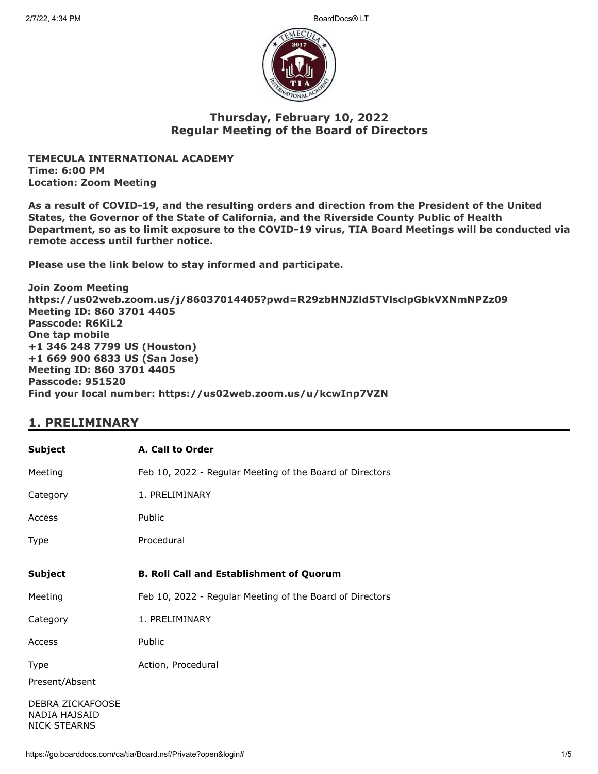

### **Thursday, February 10, 2022 Regular Meeting of the Board of Directors**

**TEMECULA INTERNATIONAL ACADEMY Time: 6:00 PM Location: Zoom Meeting**

**As a result of COVID-19, and the resulting orders and direction from the President of the United States, the Governor of the State of California, and the Riverside County Public of Health Department, so as to limit exposure to the COVID-19 virus, TIA Board Meetings will be conducted via remote access until further notice.**

**Please use the link below to stay informed and participate.** 

**Join Zoom Meeting https://us02web.zoom.us/j/86037014405?pwd=R29zbHNJZld5TVlsclpGbkVXNmNPZz09 Meeting ID: 860 3701 4405 Passcode: R6KiL2 One tap mobile +1 346 248 7799 US (Houston) +1 669 900 6833 US (San Jose) Meeting ID: 860 3701 4405 Passcode: 951520 Find your local number: https://us02web.zoom.us/u/kcwInp7VZN**

### **1. PRELIMINARY**

| <b>Subject</b>                                           | A. Call to Order                                         |
|----------------------------------------------------------|----------------------------------------------------------|
| Meeting                                                  | Feb 10, 2022 - Regular Meeting of the Board of Directors |
| Category                                                 | 1. PRELIMINARY                                           |
| Access                                                   | Public                                                   |
| Type                                                     | Procedural                                               |
| <b>Subject</b>                                           | <b>B. Roll Call and Establishment of Quorum</b>          |
| Meeting                                                  | Feb 10, 2022 - Regular Meeting of the Board of Directors |
| Category                                                 | 1. PRELIMINARY                                           |
| Access                                                   | Public                                                   |
| Type<br>Present/Absent                                   | Action, Procedural                                       |
| DEBRA ZICKAFOOSE<br>NADIA HAJSAID<br><b>NICK STEARNS</b> |                                                          |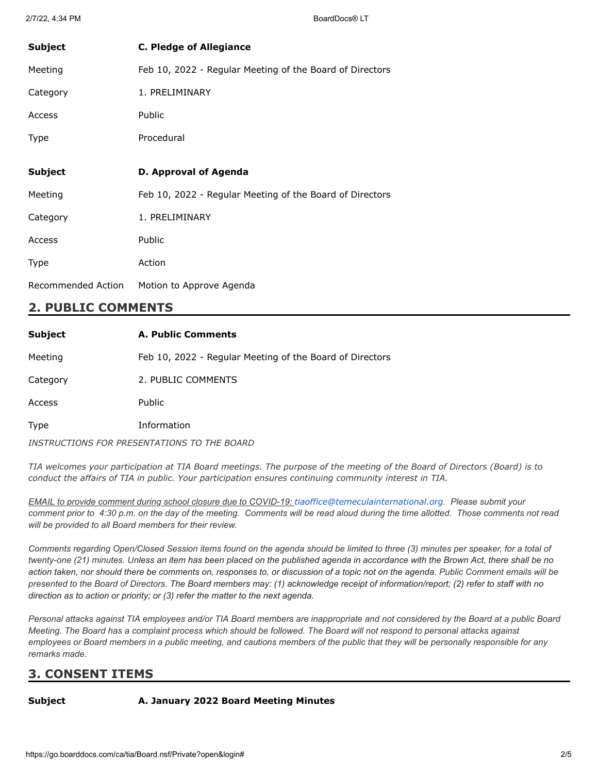| <b>Subject</b> | <b>C. Pledge of Allegiance</b>                           |
|----------------|----------------------------------------------------------|
| Meeting        | Feb 10, 2022 - Regular Meeting of the Board of Directors |
| Category       | 1. PRELIMINARY                                           |
| Access         | Public                                                   |
| Type           | Procedural                                               |
|                |                                                          |
|                |                                                          |
| <b>Subject</b> | D. Approval of Agenda                                    |
| Meeting        | Feb 10, 2022 - Regular Meeting of the Board of Directors |
| Category       | 1. PRELIMINARY                                           |
| Access         | Public                                                   |
| Type           | Action                                                   |

### **2. PUBLIC COMMENTS**

| <b>Subject</b> | <b>A. Public Comments</b>                                |
|----------------|----------------------------------------------------------|
| Meeting        | Feb 10, 2022 - Regular Meeting of the Board of Directors |
| Category       | 2. PUBLIC COMMENTS                                       |
| Access         | <b>Public</b>                                            |
| Type           | Information                                              |
|                | INSTRUCTIONS FOR PRESENTATIONS TO THE BOARD              |

TIA welcomes your participation at TIA Board meetings. The purpose of the meeting of the Board of Directors (Board) is to *conduct the affairs of TIA in public. Your participation ensures continuing community interest in TIA.*

*EMAIL to provide comment during school closure due to COVID-19: [tiaoffice@temeculainternational.org](mailto:tiaoffice@temeculainternational.org). Please submit your comment prior to 4:30 p.m. on the day of the meeting. Comments will be read aloud during the time allotted. Those comments not read will be provided to all Board members for their review.*

*Comments regarding Open/Closed Session items found on the agenda should be limited to three (3) minutes per speaker, for a total of twenty-one (21) minutes. Unless an item has been placed on the published agenda in accordance with the Brown Act, there shall be no action taken, nor should there be comments on, responses to, or discussion of a topic not on the agenda. Public Comment emails will be presented to the Board of Directors. The Board members may: (1) acknowledge receipt of information/report; (2) refer to staff with no direction as to action or priority; or (3) refer the matter to the next agenda.*

*Personal attacks against TIA employees and/or TIA Board members are inappropriate and not considered by the Board at a public Board Meeting. The Board has a complaint process which should be followed. The Board will not respond to personal attacks against employees or Board members in a public meeting, and cautions members of the public that they will be personally responsible for any remarks made.*

# **3. CONSENT ITEMS**

### **Subject A. January 2022 Board Meeting Minutes**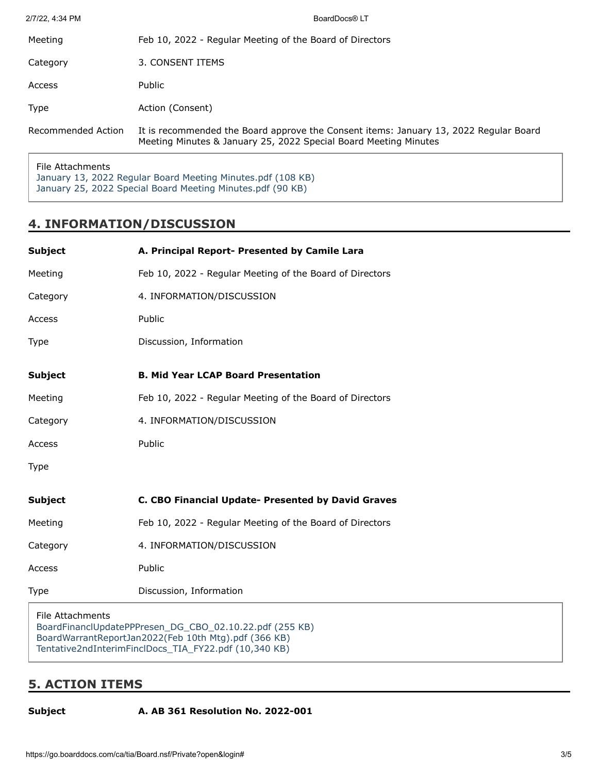| 2/7/22, 4:34 PM    | BoardDocs® LT                                                                                                                                             |
|--------------------|-----------------------------------------------------------------------------------------------------------------------------------------------------------|
| Meeting            | Feb 10, 2022 - Regular Meeting of the Board of Directors                                                                                                  |
| Category           | 3. CONSENT ITEMS                                                                                                                                          |
| Access             | Public                                                                                                                                                    |
| <b>Type</b>        | Action (Consent)                                                                                                                                          |
| Recommended Action | It is recommended the Board approve the Consent items: January 13, 2022 Regular Board<br>Meeting Minutes & January 25, 2022 Special Board Meeting Minutes |
|                    |                                                                                                                                                           |

File Attachments [January 13, 2022 Regular Board Meeting Minutes.pdf \(108 KB\)](https://go.boarddocs.com/ca/tia/Board.nsf/files/CBF2HX01F404/$file/January%2013%2C%202022%20Regular%20Board%20Meeting%20Minutes.pdf) [January 25, 2022 Special Board Meeting Minutes.pdf \(90 KB\)](https://go.boarddocs.com/ca/tia/Board.nsf/files/CBF2HZ01F417/$file/January%2025%2C%202022%20Special%20Board%20Meeting%20Minutes.pdf)

## **4. INFORMATION/DISCUSSION**

| <b>Subject</b>   | A. Principal Report- Presented by Camile Lara            |
|------------------|----------------------------------------------------------|
| Meeting          | Feb 10, 2022 - Regular Meeting of the Board of Directors |
| Category         | 4. INFORMATION/DISCUSSION                                |
| Access           | Public                                                   |
| Type             | Discussion, Information                                  |
| <b>Subject</b>   | <b>B. Mid Year LCAP Board Presentation</b>               |
| Meeting          | Feb 10, 2022 - Regular Meeting of the Board of Directors |
| Category         | 4. INFORMATION/DISCUSSION                                |
| Access           | Public                                                   |
| Type             |                                                          |
| <b>Subject</b>   | C. CBO Financial Update- Presented by David Graves       |
| Meeting          | Feb 10, 2022 - Regular Meeting of the Board of Directors |
| Category         | 4. INFORMATION/DISCUSSION                                |
| Access           | Public                                                   |
| Type             | Discussion, Information                                  |
| File Attachments |                                                          |

[BoardFinanclUpdatePPPresen\\_DG\\_CBO\\_02.10.22.pdf \(255 KB\)](https://go.boarddocs.com/ca/tia/Board.nsf/files/CBEUWC7BA304/$file/BoardFinanclUpdatePPPresen_DG_CBO_02.10.22.pdf) [BoardWarrantReportJan2022\(Feb 10th Mtg\).pdf \(366 KB\)](https://go.boarddocs.com/ca/tia/Board.nsf/files/CBEUWE7BA33A/$file/BoardWarrantReportJan2022(Feb%2010th%20Mtg).pdf) [Tentative2ndInterimFinclDocs\\_TIA\\_FY22.pdf \(10,340 KB\)](https://go.boarddocs.com/ca/tia/Board.nsf/files/CBEUWG7BA86F/$file/Tentative2ndInterimFinclDocs_TIA_FY22.pdf)

# **5. ACTION ITEMS**

**Subject A. AB 361 Resolution No. 2022-001**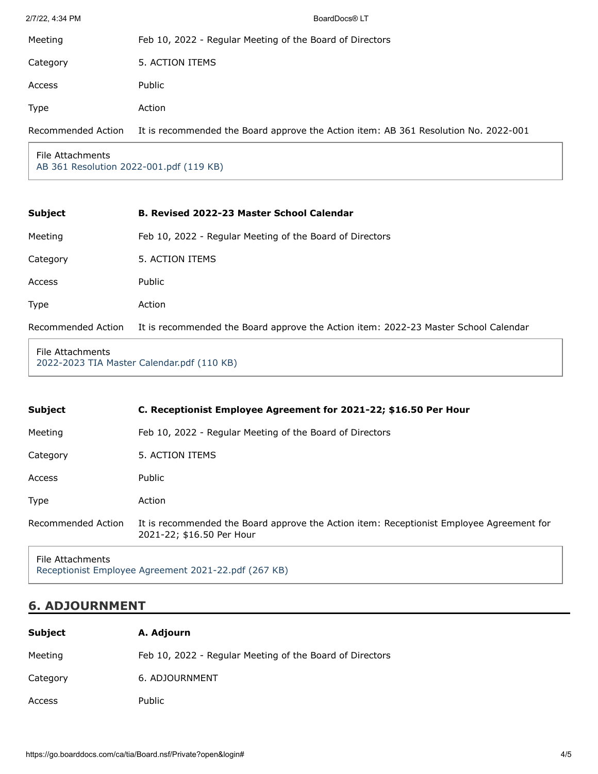| 2/7/22, 4:34 PM    | BoardDocs® LT                                                                       |
|--------------------|-------------------------------------------------------------------------------------|
| Meeting            | Feb 10, 2022 - Regular Meeting of the Board of Directors                            |
| Category           | 5. ACTION ITEMS                                                                     |
| Access             | Public                                                                              |
| Type               | Action                                                                              |
| Recommended Action | It is recommended the Board approve the Action item: AB 361 Resolution No. 2022-001 |
|                    |                                                                                     |

File Attachments [AB 361 Resolution 2022-001.pdf \(119 KB\)](https://go.boarddocs.com/ca/tia/Board.nsf/files/CBEVG3809D42/$file/AB%20361%20Resolution%202022-001.pdf)

| <b>Subject</b>     | <b>B. Revised 2022-23 Master School Calendar</b>                                    |
|--------------------|-------------------------------------------------------------------------------------|
| Meeting            | Feb 10, 2022 - Regular Meeting of the Board of Directors                            |
| Category           | 5. ACTION ITEMS                                                                     |
| Access             | Public                                                                              |
| <b>Type</b>        | Action                                                                              |
| Recommended Action | It is recommended the Board approve the Action item: 2022-23 Master School Calendar |

File Attachments [2022-2023 TIA Master Calendar.pdf \(110 KB\)](https://go.boarddocs.com/ca/tia/Board.nsf/files/CBF2JD023119/$file/2022-2023%20TIA%20Master%20Calendar.pdf)

| Subject            | C. Receptionist Employee Agreement for 2021-22; \$16.50 Per Hour                                                      |
|--------------------|-----------------------------------------------------------------------------------------------------------------------|
| Meeting            | Feb 10, 2022 - Regular Meeting of the Board of Directors                                                              |
| Category           | 5. ACTION ITEMS                                                                                                       |
| Access             | Public                                                                                                                |
| Type               | Action                                                                                                                |
| Recommended Action | It is recommended the Board approve the Action item: Receptionist Employee Agreement for<br>2021-22; \$16.50 Per Hour |
|                    |                                                                                                                       |

File Attachments [Receptionist Employee Agreement 2021-22.pdf \(267 KB\)](https://go.boarddocs.com/ca/tia/Board.nsf/files/CBF2PB031D78/$file/Receptionist%20Employee%20Agreement%202021-22.pdf)

# **6. ADJOURNMENT**

| <b>Subject</b> | A. Adjourn                                               |
|----------------|----------------------------------------------------------|
| Meeting        | Feb 10, 2022 - Regular Meeting of the Board of Directors |
| Category       | 6. ADJOURNMENT                                           |
| Access         | Public                                                   |